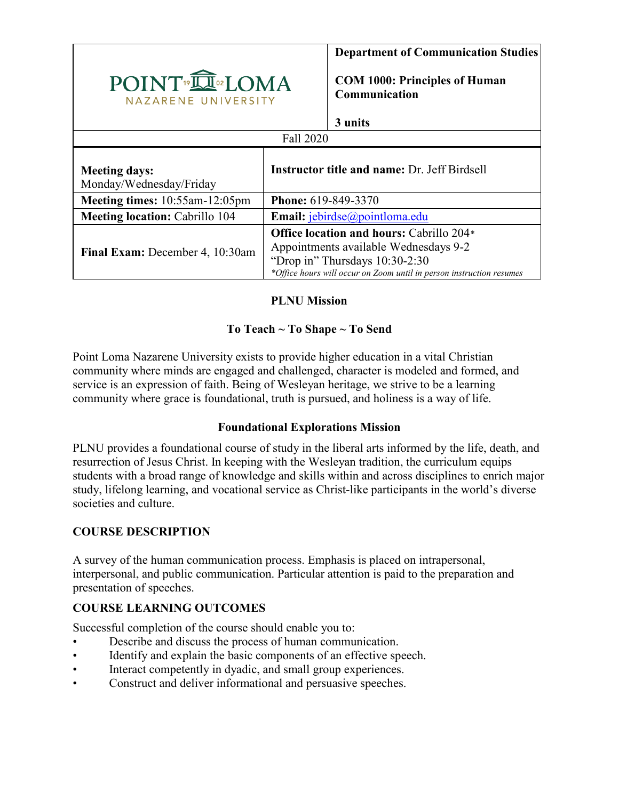

**Department of Communication Studies**

**COM 1000: Principles of Human Communication**

#### **3 units**

| Fall 2020                                       |                                                                                                                                                                                             |  |  |  |  |  |
|-------------------------------------------------|---------------------------------------------------------------------------------------------------------------------------------------------------------------------------------------------|--|--|--|--|--|
| <b>Meeting days:</b><br>Monday/Wednesday/Friday | <b>Instructor title and name: Dr. Jeff Birdsell</b>                                                                                                                                         |  |  |  |  |  |
| Meeting times: 10:55am-12:05pm                  | <b>Phone: 619-849-3370</b>                                                                                                                                                                  |  |  |  |  |  |
| Meeting location: Cabrillo 104                  | Email: jebirdse@pointloma.edu                                                                                                                                                               |  |  |  |  |  |
| Final Exam: December 4, 10:30am                 | Office location and hours: Cabrillo 204*<br>Appointments available Wednesdays 9-2<br>"Drop in" Thursdays 10:30-2:30<br>*Office hours will occur on Zoom until in person instruction resumes |  |  |  |  |  |

## **PLNU Mission**

#### **To Teach ~ To Shape ~ To Send**

Point Loma Nazarene University exists to provide higher education in a vital Christian community where minds are engaged and challenged, character is modeled and formed, and service is an expression of faith. Being of Wesleyan heritage, we strive to be a learning community where grace is foundational, truth is pursued, and holiness is a way of life.

#### **Foundational Explorations Mission**

PLNU provides a foundational course of study in the liberal arts informed by the life, death, and resurrection of Jesus Christ. In keeping with the Wesleyan tradition, the curriculum equips students with a broad range of knowledge and skills within and across disciplines to enrich major study, lifelong learning, and vocational service as Christ-like participants in the world's diverse societies and culture.

## **COURSE DESCRIPTION**

A survey of the human communication process. Emphasis is placed on intrapersonal, interpersonal, and public communication. Particular attention is paid to the preparation and presentation of speeches.

## **COURSE LEARNING OUTCOMES**

Successful completion of the course should enable you to:

- Describe and discuss the process of human communication.
- Identify and explain the basic components of an effective speech.
- Interact competently in dyadic, and small group experiences.
- Construct and deliver informational and persuasive speeches.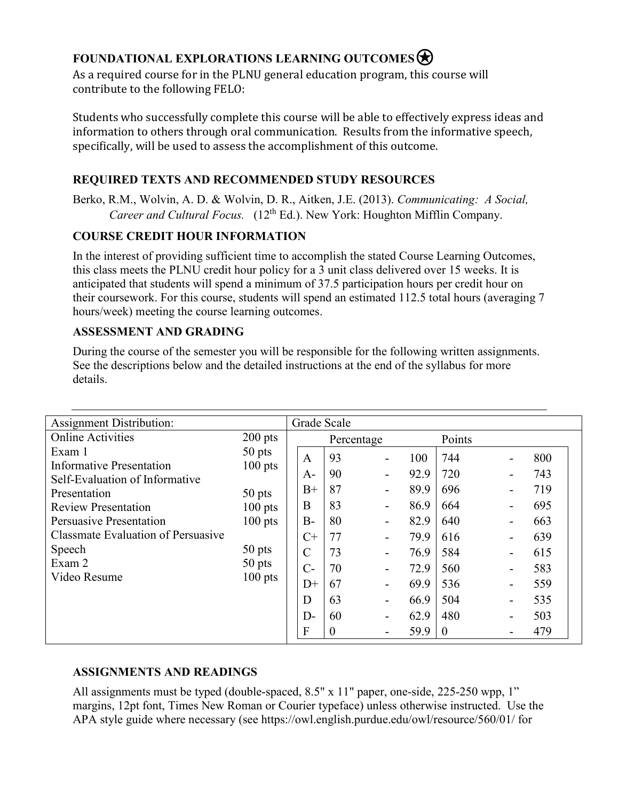# **FOUNDATIONAL EXPLORATIONS LEARNING OUTCOMES**<br>As a required course for in the PLNU general education program, this course will

contribute to the following FELO:

Students who successfully complete this course will be able to effectively express ideas and information to others through oral communication. Results from the informative speech, specifically, will be used to assess the accomplishment of this outcome.

## **REQUIRED TEXTS AND RECOMMENDED STUDY RESOURCES**

Berko, R.M., Wolvin, A. D. & Wolvin, D. R., Aitken, J.E. (2013). *Communicating: A Social, Career and Cultural Focus.* (12th Ed.). New York: Houghton Mifflin Company.

## **COURSE CREDIT HOUR INFORMATION**

In the interest of providing sufficient time to accomplish the stated Course Learning Outcomes, this class meets the PLNU credit hour policy for a 3 unit class delivered over 15 weeks. It is anticipated that students will spend a minimum of 37.5 participation hours per credit hour on their coursework. For this course, students will spend an estimated 112.5 total hours (averaging 7 hours/week) meeting the course learning outcomes.

## **ASSESSMENT AND GRADING**

During the course of the semester you will be responsible for the following written assignments. See the descriptions below and the detailed instructions at the end of the syllabus for more details.

| <b>Assignment Distribution:</b>            |                                              | Grade Scale   |          |                          |      |          |     |
|--------------------------------------------|----------------------------------------------|---------------|----------|--------------------------|------|----------|-----|
| <b>Online Activities</b>                   | $200$ pts                                    | Percentage    |          |                          |      | Points   |     |
| Exam 1                                     | $50$ pts<br>$100$ pts                        | A             | 93       | $\overline{\phantom{a}}$ | 100  | 744      | 800 |
| <b>Informative Presentation</b>            |                                              | $A-$          | 90       | $\overline{\phantom{a}}$ | 92.9 | 720      | 743 |
| Self-Evaluation of Informative             |                                              | $B+$          | 87       | $\overline{\phantom{a}}$ | 89.9 | 696      | 719 |
| Presentation<br><b>Review Presentation</b> | 50 pts<br>$100$ pts                          | B             | 83       | $\overline{\phantom{a}}$ | 86.9 | 664      | 695 |
| Persuasive Presentation                    | $100$ pts<br>50 pts<br>$50$ pts<br>$100$ pts | $B-$          | 80       | $\overline{\phantom{a}}$ | 82.9 | 640      | 663 |
| <b>Classmate Evaluation of Persuasive</b>  |                                              | $C+$          | 77       |                          | 79.9 | 616      | 639 |
| Speech                                     |                                              | $\mathcal{C}$ | 73       | $\overline{\phantom{a}}$ | 76.9 | 584      | 615 |
| Exam 2                                     |                                              | $C-$          | 70       |                          | 72.9 | 560      | 583 |
| Video Resume                               |                                              | $D+$          | 67       | $\overline{\phantom{a}}$ | 69.9 | 536      | 559 |
|                                            |                                              | D             | 63       | $\blacksquare$           | 66.9 | 504      | 535 |
|                                            |                                              | $D-$          | 60       | $\blacksquare$           | 62.9 | 480      | 503 |
|                                            |                                              | F             | $\theta$ |                          | 59.9 | $\theta$ | 479 |
|                                            |                                              |               |          |                          |      |          |     |

## **ASSIGNMENTS AND READINGS**

All assignments must be typed (double-spaced, 8.5" x 11" paper, one-side, 225-250 wpp, 1" margins, 12pt font, Times New Roman or Courier typeface) unless otherwise instructed. Use the APA style guide where necessary (see https://owl.english.purdue.edu/owl/resource/560/01/ for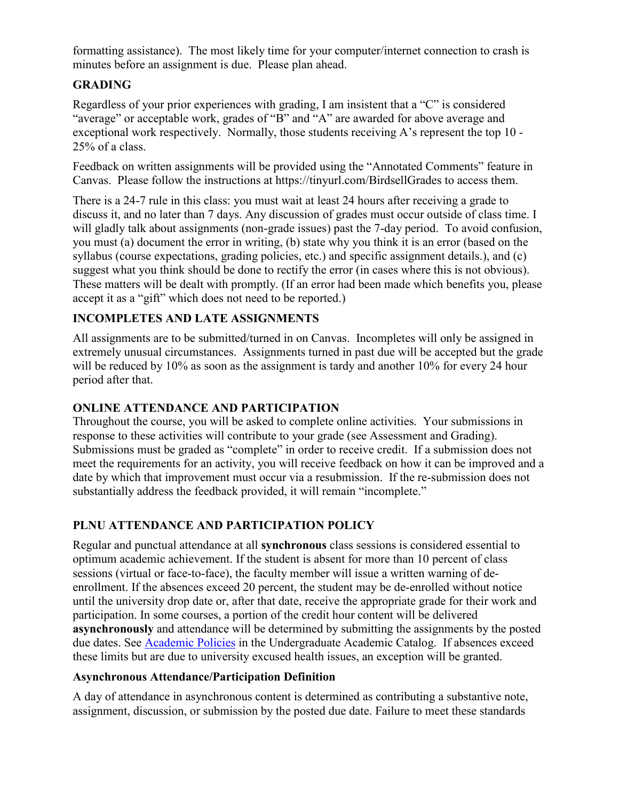formatting assistance). The most likely time for your computer/internet connection to crash is minutes before an assignment is due. Please plan ahead.

## **GRADING**

Regardless of your prior experiences with grading, I am insistent that a "C" is considered "average" or acceptable work, grades of "B" and "A" are awarded for above average and exceptional work respectively. Normally, those students receiving A's represent the top 10 - 25% of a class.

Feedback on written assignments will be provided using the "Annotated Comments" feature in Canvas. Please follow the instructions at https://tinyurl.com/BirdsellGrades to access them.

There is a 24-7 rule in this class: you must wait at least 24 hours after receiving a grade to discuss it, and no later than 7 days. Any discussion of grades must occur outside of class time. I will gladly talk about assignments (non-grade issues) past the 7-day period. To avoid confusion, you must (a) document the error in writing, (b) state why you think it is an error (based on the syllabus (course expectations, grading policies, etc.) and specific assignment details.), and (c) suggest what you think should be done to rectify the error (in cases where this is not obvious). These matters will be dealt with promptly. (If an error had been made which benefits you, please accept it as a "gift" which does not need to be reported.)

## **INCOMPLETES AND LATE ASSIGNMENTS**

All assignments are to be submitted/turned in on Canvas. Incompletes will only be assigned in extremely unusual circumstances. Assignments turned in past due will be accepted but the grade will be reduced by 10% as soon as the assignment is tardy and another 10% for every 24 hour period after that.

#### **ONLINE ATTENDANCE AND PARTICIPATION**

Throughout the course, you will be asked to complete online activities. Your submissions in response to these activities will contribute to your grade (see Assessment and Grading). Submissions must be graded as "complete" in order to receive credit. If a submission does not meet the requirements for an activity, you will receive feedback on how it can be improved and a date by which that improvement must occur via a resubmission. If the re-submission does not substantially address the feedback provided, it will remain "incomplete."

## **PLNU ATTENDANCE AND PARTICIPATION POLICY**

Regular and punctual attendance at all **synchronous** class sessions is considered essential to optimum academic achievement. If the student is absent for more than 10 percent of class sessions (virtual or face-to-face), the faculty member will issue a written warning of deenrollment. If the absences exceed 20 percent, the student may be de-enrolled without notice until the university drop date or, after that date, receive the appropriate grade for their work and participation. In some courses, a portion of the credit hour content will be delivered **asynchronously** and attendance will be determined by submitting the assignments by the posted due dates. See [Academic Policies](https://catalog.pointloma.edu/content.php?catoid=46&navoid=2650#Class_Attendance) in the Undergraduate Academic Catalog. If absences exceed these limits but are due to university excused health issues, an exception will be granted.

#### **Asynchronous Attendance/Participation Definition**

A day of attendance in asynchronous content is determined as contributing a substantive note, assignment, discussion, or submission by the posted due date. Failure to meet these standards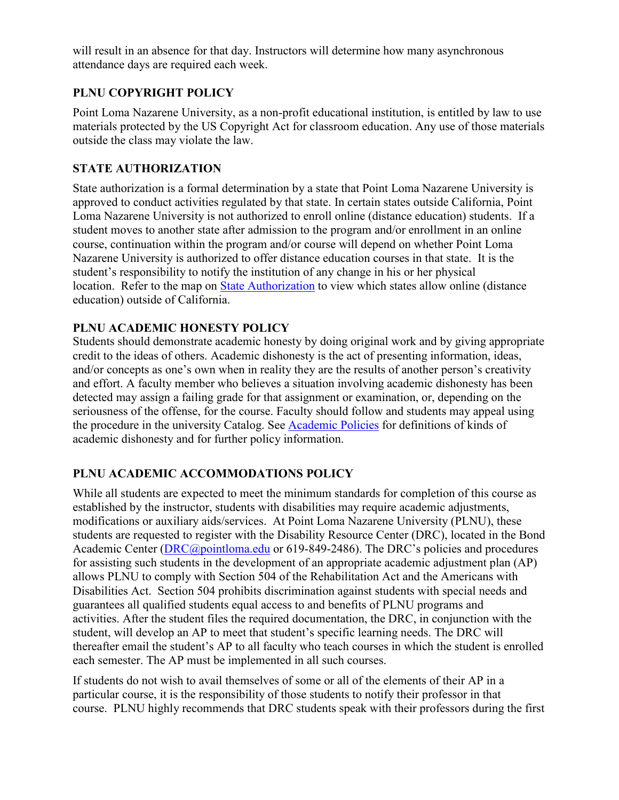will result in an absence for that day. Instructors will determine how many asynchronous attendance days are required each week.

## **PLNU COPYRIGHT POLICY**

Point Loma Nazarene University, as a non-profit educational institution, is entitled by law to use materials protected by the US Copyright Act for classroom education. Any use of those materials outside the class may violate the law.

#### **STATE AUTHORIZATION**

State authorization is a formal determination by a state that Point Loma Nazarene University is approved to conduct activities regulated by that state. In certain states outside California, Point Loma Nazarene University is not authorized to enroll online (distance education) students. If a student moves to another state after admission to the program and/or enrollment in an online course, continuation within the program and/or course will depend on whether Point Loma Nazarene University is authorized to offer distance education courses in that state. It is the student's responsibility to notify the institution of any change in his or her physical location. Refer to the map on [State Authorization](https://www.pointloma.edu/offices/office-institutional-effectiveness-research/disclosures) to view which states allow online (distance education) outside of California.

## **PLNU ACADEMIC HONESTY POLICY**

Students should demonstrate academic honesty by doing original work and by giving appropriate credit to the ideas of others. Academic dishonesty is the act of presenting information, ideas, and/or concepts as one's own when in reality they are the results of another person's creativity and effort. A faculty member who believes a situation involving academic dishonesty has been detected may assign a failing grade for that assignment or examination, or, depending on the seriousness of the offense, for the course. Faculty should follow and students may appeal using the procedure in the university Catalog. See [Academic Policies](https://catalog.pointloma.edu/content.php?catoid=41&navoid=2435#Academic_Honesty) for definitions of kinds of academic dishonesty and for further policy information.

#### **PLNU ACADEMIC ACCOMMODATIONS POLICY**

While all students are expected to meet the minimum standards for completion of this course as established by the instructor, students with disabilities may require academic adjustments, modifications or auxiliary aids/services. At Point Loma Nazarene University (PLNU), these students are requested to register with the Disability Resource Center (DRC), located in the Bond Academic Center [\(DRC@pointloma.edu](mailto:DRC@pointloma.edu) or 619-849-2486). The DRC's policies and procedures for assisting such students in the development of an appropriate academic adjustment plan (AP) allows PLNU to comply with Section 504 of the Rehabilitation Act and the Americans with Disabilities Act. Section 504 prohibits discrimination against students with special needs and guarantees all qualified students equal access to and benefits of PLNU programs and activities. After the student files the required documentation, the DRC, in conjunction with the student, will develop an AP to meet that student's specific learning needs. The DRC will thereafter email the student's AP to all faculty who teach courses in which the student is enrolled each semester. The AP must be implemented in all such courses.

If students do not wish to avail themselves of some or all of the elements of their AP in a particular course, it is the responsibility of those students to notify their professor in that course. PLNU highly recommends that DRC students speak with their professors during the first